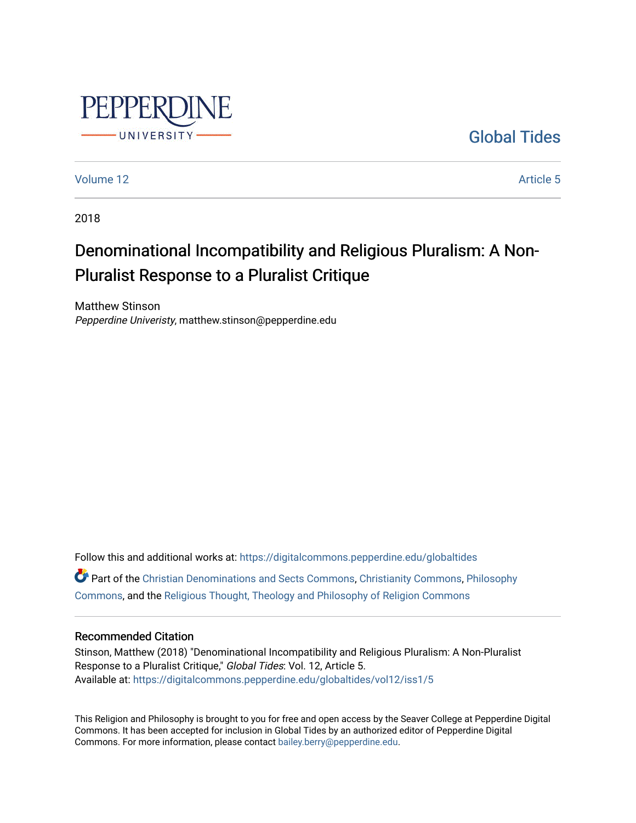

[Global Tides](https://digitalcommons.pepperdine.edu/globaltides) 

[Volume 12](https://digitalcommons.pepperdine.edu/globaltides/vol12) Article 5

2018

# Denominational Incompatibility and Religious Pluralism: A Non-Pluralist Response to a Pluralist Critique

Matthew Stinson Pepperdine Univeristy, matthew.stinson@pepperdine.edu

Follow this and additional works at: [https://digitalcommons.pepperdine.edu/globaltides](https://digitalcommons.pepperdine.edu/globaltides?utm_source=digitalcommons.pepperdine.edu%2Fglobaltides%2Fvol12%2Fiss1%2F5&utm_medium=PDF&utm_campaign=PDFCoverPages)  Part of the [Christian Denominations and Sects Commons,](http://network.bepress.com/hgg/discipline/1184?utm_source=digitalcommons.pepperdine.edu%2Fglobaltides%2Fvol12%2Fiss1%2F5&utm_medium=PDF&utm_campaign=PDFCoverPages) [Christianity Commons,](http://network.bepress.com/hgg/discipline/1181?utm_source=digitalcommons.pepperdine.edu%2Fglobaltides%2Fvol12%2Fiss1%2F5&utm_medium=PDF&utm_campaign=PDFCoverPages) [Philosophy](http://network.bepress.com/hgg/discipline/525?utm_source=digitalcommons.pepperdine.edu%2Fglobaltides%2Fvol12%2Fiss1%2F5&utm_medium=PDF&utm_campaign=PDFCoverPages) [Commons](http://network.bepress.com/hgg/discipline/525?utm_source=digitalcommons.pepperdine.edu%2Fglobaltides%2Fvol12%2Fiss1%2F5&utm_medium=PDF&utm_campaign=PDFCoverPages), and the [Religious Thought, Theology and Philosophy of Religion Commons](http://network.bepress.com/hgg/discipline/544?utm_source=digitalcommons.pepperdine.edu%2Fglobaltides%2Fvol12%2Fiss1%2F5&utm_medium=PDF&utm_campaign=PDFCoverPages) 

#### Recommended Citation

Stinson, Matthew (2018) "Denominational Incompatibility and Religious Pluralism: A Non-Pluralist Response to a Pluralist Critique," Global Tides: Vol. 12, Article 5. Available at: [https://digitalcommons.pepperdine.edu/globaltides/vol12/iss1/5](https://digitalcommons.pepperdine.edu/globaltides/vol12/iss1/5?utm_source=digitalcommons.pepperdine.edu%2Fglobaltides%2Fvol12%2Fiss1%2F5&utm_medium=PDF&utm_campaign=PDFCoverPages) 

This Religion and Philosophy is brought to you for free and open access by the Seaver College at Pepperdine Digital Commons. It has been accepted for inclusion in Global Tides by an authorized editor of Pepperdine Digital Commons. For more information, please contact [bailey.berry@pepperdine.edu](mailto:bailey.berry@pepperdine.edu).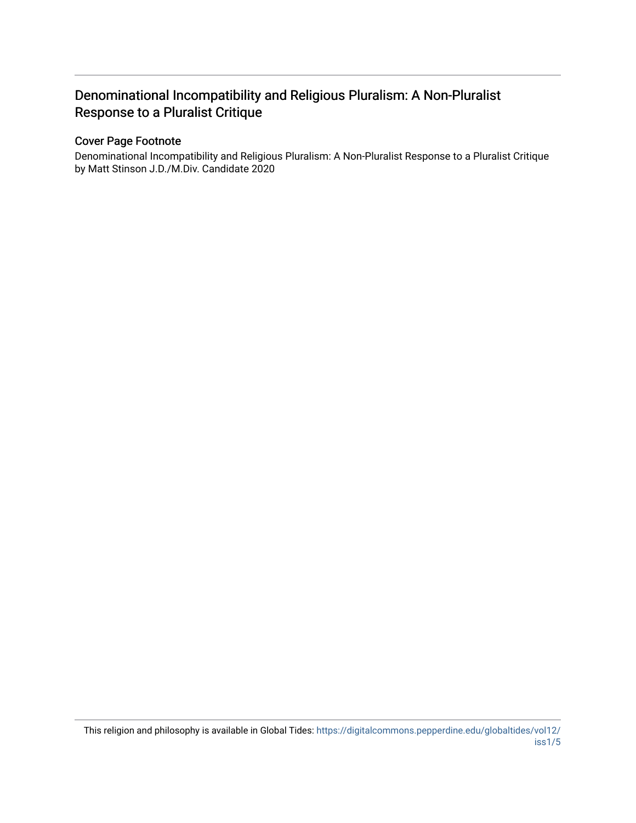# Denominational Incompatibility and Religious Pluralism: A Non-Pluralist Response to a Pluralist Critique

## Cover Page Footnote

Denominational Incompatibility and Religious Pluralism: A Non-Pluralist Response to a Pluralist Critique by Matt Stinson J.D./M.Div. Candidate 2020

This religion and philosophy is available in Global Tides: [https://digitalcommons.pepperdine.edu/globaltides/vol12/](https://digitalcommons.pepperdine.edu/globaltides/vol12/iss1/5) [iss1/5](https://digitalcommons.pepperdine.edu/globaltides/vol12/iss1/5)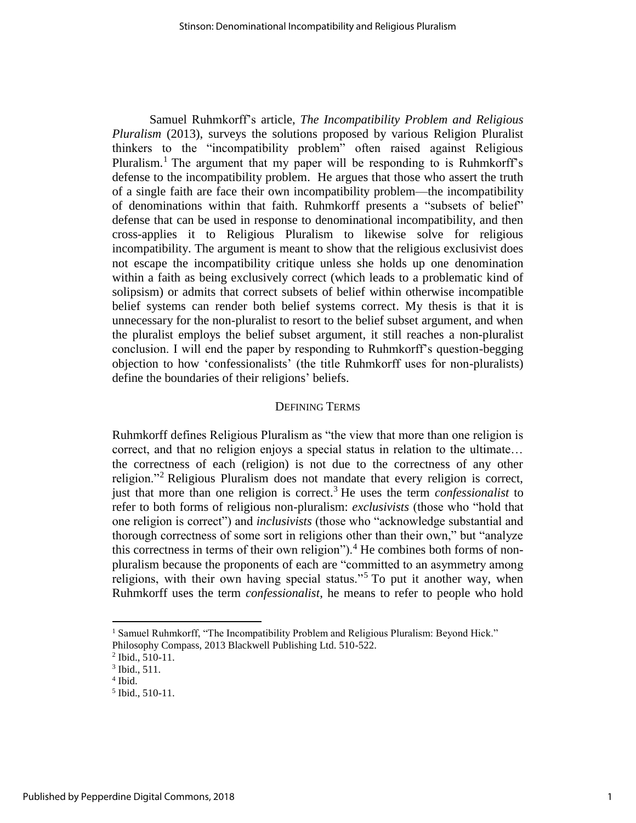Samuel Ruhmkorff's article, *The Incompatibility Problem and Religious Pluralism* (2013), surveys the solutions proposed by various Religion Pluralist thinkers to the "incompatibility problem" often raised against Religious Pluralism.<sup>1</sup> The argument that my paper will be responding to is Ruhmkorff's defense to the incompatibility problem. He argues that those who assert the truth of a single faith are face their own incompatibility problem—the incompatibility of denominations within that faith. Ruhmkorff presents a "subsets of belief" defense that can be used in response to denominational incompatibility, and then cross-applies it to Religious Pluralism to likewise solve for religious incompatibility. The argument is meant to show that the religious exclusivist does not escape the incompatibility critique unless she holds up one denomination within a faith as being exclusively correct (which leads to a problematic kind of solipsism) or admits that correct subsets of belief within otherwise incompatible belief systems can render both belief systems correct. My thesis is that it is unnecessary for the non-pluralist to resort to the belief subset argument, and when the pluralist employs the belief subset argument, it still reaches a non-pluralist conclusion. I will end the paper by responding to Ruhmkorff's question-begging objection to how 'confessionalists' (the title Ruhmkorff uses for non-pluralists) define the boundaries of their religions' beliefs.

#### DEFINING TERMS

Ruhmkorff defines Religious Pluralism as "the view that more than one religion is correct, and that no religion enjoys a special status in relation to the ultimate… the correctness of each (religion) is not due to the correctness of any other religion."<sup>2</sup> Religious Pluralism does not mandate that every religion is correct, just that more than one religion is correct.<sup>3</sup> He uses the term *confessionalist* to refer to both forms of religious non-pluralism: *exclusivists* (those who "hold that one religion is correct") and *inclusivists* (those who "acknowledge substantial and thorough correctness of some sort in religions other than their own," but "analyze this correctness in terms of their own religion").<sup>4</sup> He combines both forms of nonpluralism because the proponents of each are "committed to an asymmetry among religions, with their own having special status."<sup>5</sup> To put it another way, when Ruhmkorff uses the term *confessionalist*, he means to refer to people who hold

 $\overline{a}$ 

<sup>&</sup>lt;sup>1</sup> Samuel Ruhmkorff, "The Incompatibility Problem and Religious Pluralism: Beyond Hick."

Philosophy Compass, 2013 Blackwell Publishing Ltd. 510-522.

<sup>2</sup> Ibid., 510-11.

<sup>3</sup> Ibid., 511.

<sup>4</sup> Ibid.

<sup>5</sup> Ibid., 510-11.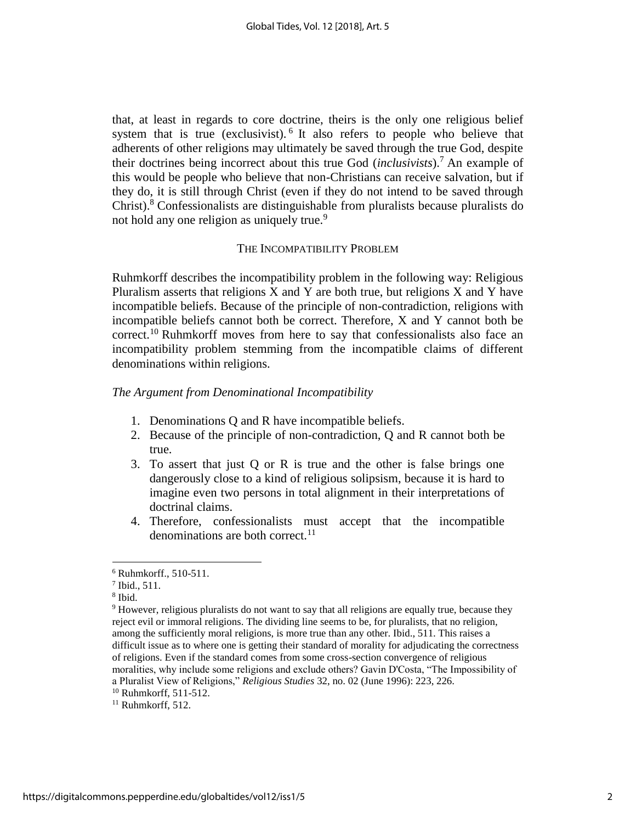that, at least in regards to core doctrine, theirs is the only one religious belief system that is true (exclusivist).  $6$  It also refers to people who believe that adherents of other religions may ultimately be saved through the true God, despite their doctrines being incorrect about this true God (*inclusivists*).<sup>7</sup> An example of this would be people who believe that non-Christians can receive salvation, but if they do, it is still through Christ (even if they do not intend to be saved through Christ). <sup>8</sup> Confessionalists are distinguishable from pluralists because pluralists do not hold any one religion as uniquely true.<sup>9</sup>

#### THE INCOMPATIBILITY PROBLEM

Ruhmkorff describes the incompatibility problem in the following way: Religious Pluralism asserts that religions  $X$  and  $Y$  are both true, but religions  $X$  and  $Y$  have incompatible beliefs. Because of the principle of non-contradiction, religions with incompatible beliefs cannot both be correct. Therefore, X and Y cannot both be correct.<sup>10</sup> Ruhmkorff moves from here to say that confessionalists also face an incompatibility problem stemming from the incompatible claims of different denominations within religions.

#### *The Argument from Denominational Incompatibility*

- 1. Denominations Q and R have incompatible beliefs.
- 2. Because of the principle of non-contradiction, Q and R cannot both be true.
- 3. To assert that just Q or R is true and the other is false brings one dangerously close to a kind of religious solipsism, because it is hard to imagine even two persons in total alignment in their interpretations of doctrinal claims.
- 4. Therefore, confessionalists must accept that the incompatible denominations are both correct.<sup>11</sup>

8 Ibid.

 $\overline{a}$ 

<sup>6</sup> Ruhmkorff., 510-511.

<sup>7</sup> Ibid., 511.

<sup>9</sup> However, religious pluralists do not want to say that all religions are equally true, because they reject evil or immoral religions. The dividing line seems to be, for pluralists, that no religion, among the sufficiently moral religions, is more true than any other. Ibid., 511. This raises a difficult issue as to where one is getting their standard of morality for adjudicating the correctness of religions. Even if the standard comes from some cross-section convergence of religious moralities, why include some religions and exclude others? Gavin D'Costa, "The Impossibility of a Pluralist View of Religions," *Religious Studies* 32, no. 02 (June 1996): 223, 226.

<sup>10</sup> Ruhmkorff, 511-512.

 $11$  Ruhmkorff, 512.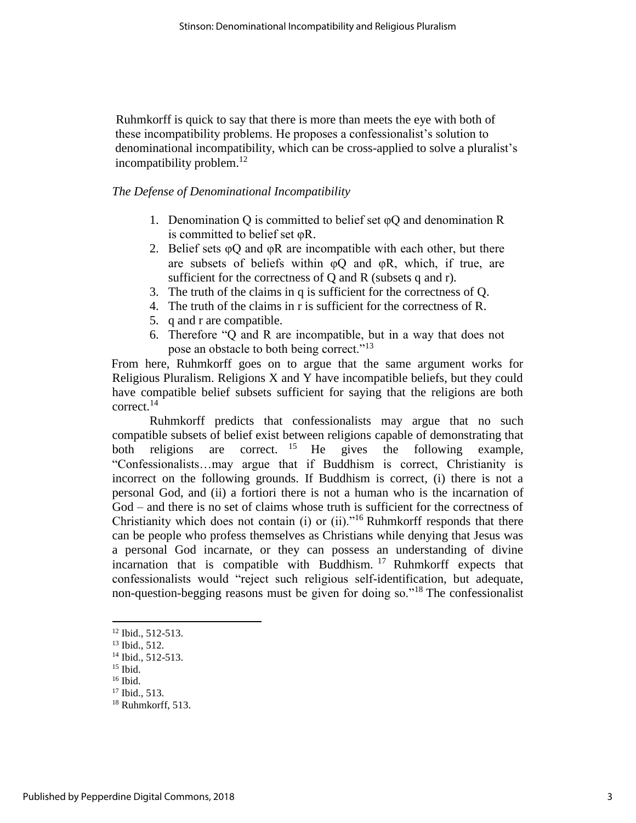Ruhmkorff is quick to say that there is more than meets the eye with both of these incompatibility problems. He proposes a confessionalist's solution to denominational incompatibility, which can be cross-applied to solve a pluralist's incompatibility problem. $12$ 

#### *The Defense of Denominational Incompatibility*

- 1. Denomination Q is committed to belief set  $\varphi$ Q and denomination R is committed to belief set φR.
- 2. Belief sets  $\varphi Q$  and  $\varphi R$  are incompatible with each other, but there are subsets of beliefs within  $\varphi$ Q and  $\varphi$ R, which, if true, are sufficient for the correctness of Q and R (subsets q and r).
- 3. The truth of the claims in q is sufficient for the correctness of Q.
- 4. The truth of the claims in r is sufficient for the correctness of R.
- 5. q and r are compatible.
- 6. Therefore "Q and R are incompatible, but in a way that does not pose an obstacle to both being correct."<sup>13</sup>

From here, Ruhmkorff goes on to argue that the same argument works for Religious Pluralism. Religions X and Y have incompatible beliefs, but they could have compatible belief subsets sufficient for saying that the religions are both correct.<sup>14</sup>

Ruhmkorff predicts that confessionalists may argue that no such compatible subsets of belief exist between religions capable of demonstrating that both religions are correct. <sup>15</sup> He gives the following example, "Confessionalists…may argue that if Buddhism is correct, Christianity is incorrect on the following grounds. If Buddhism is correct, (i) there is not a personal God, and (ii) a fortiori there is not a human who is the incarnation of God – and there is no set of claims whose truth is sufficient for the correctness of Christianity which does not contain (i) or (ii)."<sup>16</sup> Ruhmkorff responds that there can be people who profess themselves as Christians while denying that Jesus was a personal God incarnate, or they can possess an understanding of divine incarnation that is compatible with Buddhism.  $17$  Ruhmkorff expects that confessionalists would "reject such religious self-identification, but adequate, non-question-begging reasons must be given for doing so."<sup>18</sup> The confessionalist

<sup>&</sup>lt;sup>12</sup> Ibid., 512-513.

<sup>13</sup> Ibid., 512.

<sup>&</sup>lt;sup>14</sup> Ibid., 512-513.

 $15$  Ibid.

 $16$  Ibid.

<sup>17</sup> Ibid., 513.

 $18$  Ruhmkorff, 513.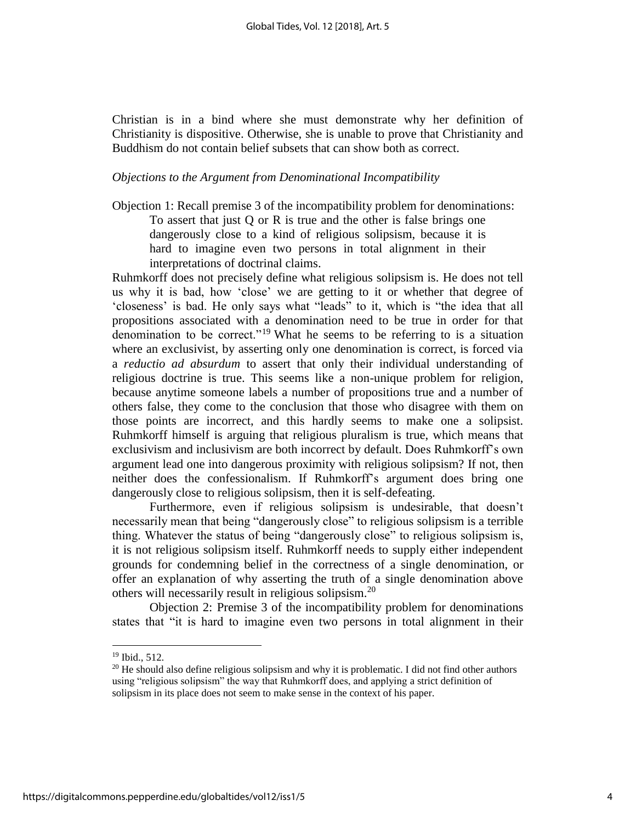Christian is in a bind where she must demonstrate why her definition of Christianity is dispositive. Otherwise, she is unable to prove that Christianity and Buddhism do not contain belief subsets that can show both as correct.

#### *Objections to the Argument from Denominational Incompatibility*

Objection 1: Recall premise 3 of the incompatibility problem for denominations: To assert that just Q or R is true and the other is false brings one dangerously close to a kind of religious solipsism, because it is hard to imagine even two persons in total alignment in their interpretations of doctrinal claims.

Ruhmkorff does not precisely define what religious solipsism is. He does not tell us why it is bad, how 'close' we are getting to it or whether that degree of 'closeness' is bad. He only says what "leads" to it, which is "the idea that all propositions associated with a denomination need to be true in order for that denomination to be correct."<sup>19</sup> What he seems to be referring to is a situation where an exclusivist, by asserting only one denomination is correct, is forced via a *reductio ad absurdum* to assert that only their individual understanding of religious doctrine is true. This seems like a non-unique problem for religion, because anytime someone labels a number of propositions true and a number of others false, they come to the conclusion that those who disagree with them on those points are incorrect, and this hardly seems to make one a solipsist. Ruhmkorff himself is arguing that religious pluralism is true, which means that exclusivism and inclusivism are both incorrect by default. Does Ruhmkorff's own argument lead one into dangerous proximity with religious solipsism? If not, then neither does the confessionalism. If Ruhmkorff's argument does bring one dangerously close to religious solipsism, then it is self-defeating.

Furthermore, even if religious solipsism is undesirable, that doesn't necessarily mean that being "dangerously close" to religious solipsism is a terrible thing. Whatever the status of being "dangerously close" to religious solipsism is, it is not religious solipsism itself. Ruhmkorff needs to supply either independent grounds for condemning belief in the correctness of a single denomination, or offer an explanation of why asserting the truth of a single denomination above others will necessarily result in religious solipsism.<sup>20</sup>

Objection 2: Premise 3 of the incompatibility problem for denominations states that "it is hard to imagine even two persons in total alignment in their

<sup>19</sup> Ibid., 512.

 $^{20}$  He should also define religious solipsism and why it is problematic. I did not find other authors using "religious solipsism" the way that Ruhmkorff does, and applying a strict definition of solipsism in its place does not seem to make sense in the context of his paper.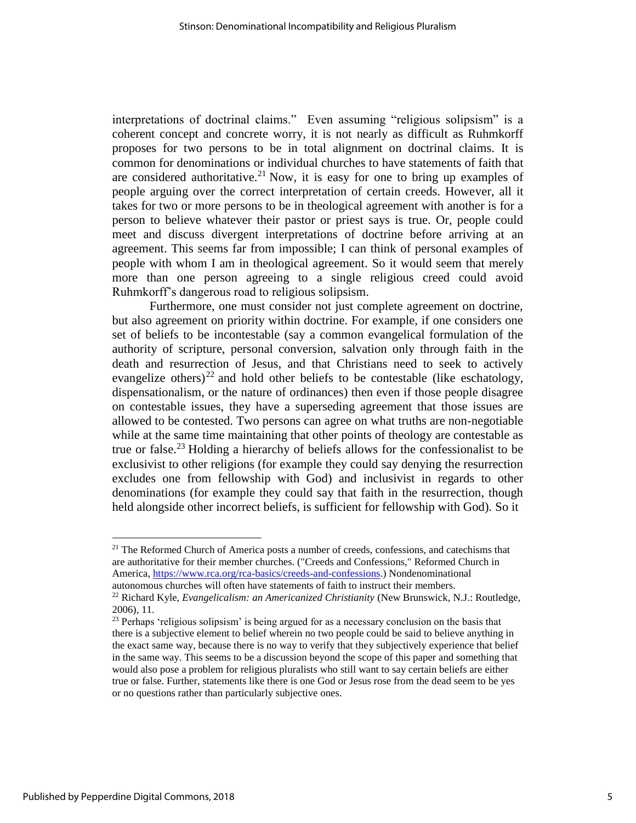interpretations of doctrinal claims." Even assuming "religious solipsism" is a coherent concept and concrete worry, it is not nearly as difficult as Ruhmkorff proposes for two persons to be in total alignment on doctrinal claims. It is common for denominations or individual churches to have statements of faith that are considered authoritative.<sup>21</sup> Now, it is easy for one to bring up examples of people arguing over the correct interpretation of certain creeds. However, all it takes for two or more persons to be in theological agreement with another is for a person to believe whatever their pastor or priest says is true. Or, people could meet and discuss divergent interpretations of doctrine before arriving at an agreement. This seems far from impossible; I can think of personal examples of people with whom I am in theological agreement. So it would seem that merely more than one person agreeing to a single religious creed could avoid Ruhmkorff's dangerous road to religious solipsism.

Furthermore, one must consider not just complete agreement on doctrine, but also agreement on priority within doctrine. For example, if one considers one set of beliefs to be incontestable (say a common evangelical formulation of the authority of scripture, personal conversion, salvation only through faith in the death and resurrection of Jesus, and that Christians need to seek to actively evangelize others)<sup>22</sup> and hold other beliefs to be contestable (like eschatology, dispensationalism, or the nature of ordinances) then even if those people disagree on contestable issues, they have a superseding agreement that those issues are allowed to be contested. Two persons can agree on what truths are non-negotiable while at the same time maintaining that other points of theology are contestable as true or false.<sup>23</sup> Holding a hierarchy of beliefs allows for the confessionalist to be exclusivist to other religions (for example they could say denying the resurrection excludes one from fellowship with God) and inclusivist in regards to other denominations (for example they could say that faith in the resurrection, though held alongside other incorrect beliefs, is sufficient for fellowship with God). So it

l

 $21$  The Reformed Church of America posts a number of creeds, confessions, and catechisms that are authoritative for their member churches. ("Creeds and Confessions," Reformed Church in America, [https://www.rca.org/rca-basics/creeds-and-confessions.](https://www.rca.org/rca-basics/creeds-and-confessions)) Nondenominational autonomous churches will often have statements of faith to instruct their members.

<sup>22</sup> Richard Kyle, *Evangelicalism: an Americanized Christianity* (New Brunswick, N.J.: Routledge, 2006), 11.

<sup>&</sup>lt;sup>23</sup> Perhaps 'religious solipsism' is being argued for as a necessary conclusion on the basis that there is a subjective element to belief wherein no two people could be said to believe anything in the exact same way, because there is no way to verify that they subjectively experience that belief in the same way. This seems to be a discussion beyond the scope of this paper and something that would also pose a problem for religious pluralists who still want to say certain beliefs are either true or false. Further, statements like there is one God or Jesus rose from the dead seem to be yes or no questions rather than particularly subjective ones.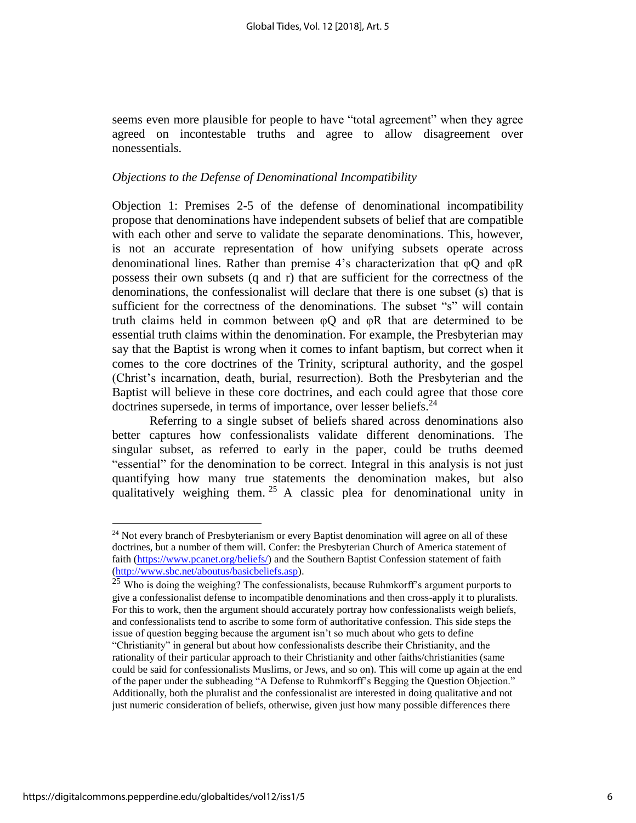seems even more plausible for people to have "total agreement" when they agree agreed on incontestable truths and agree to allow disagreement over nonessentials.

#### *Objections to the Defense of Denominational Incompatibility*

Objection 1: Premises 2-5 of the defense of denominational incompatibility propose that denominations have independent subsets of belief that are compatible with each other and serve to validate the separate denominations. This, however, is not an accurate representation of how unifying subsets operate across denominational lines. Rather than premise 4's characterization that φQ and φR possess their own subsets (q and r) that are sufficient for the correctness of the denominations, the confessionalist will declare that there is one subset (s) that is sufficient for the correctness of the denominations. The subset "s" will contain truth claims held in common between  $\varphi Q$  and  $\varphi R$  that are determined to be essential truth claims within the denomination. For example, the Presbyterian may say that the Baptist is wrong when it comes to infant baptism, but correct when it comes to the core doctrines of the Trinity, scriptural authority, and the gospel (Christ's incarnation, death, burial, resurrection). Both the Presbyterian and the Baptist will believe in these core doctrines, and each could agree that those core doctrines supersede, in terms of importance, over lesser beliefs. $^{24}$ 

Referring to a single subset of beliefs shared across denominations also better captures how confessionalists validate different denominations. The singular subset, as referred to early in the paper, could be truths deemed "essential" for the denomination to be correct. Integral in this analysis is not just quantifying how many true statements the denomination makes, but also qualitatively weighing them. <sup>25</sup> A classic plea for denominational unity in

l

 $24$  Not every branch of Presbyterianism or every Baptist denomination will agree on all of these doctrines, but a number of them will. Confer: the Presbyterian Church of America statement of faith [\(https://www.pcanet.org/beliefs/\)](https://www.pcanet.org/beliefs/) and the Southern Baptist Confession statement of faith [\(http://www.sbc.net/aboutus/basicbeliefs.asp\)](http://www.sbc.net/aboutus/basicbeliefs.asp).

 $25$  Who is doing the weighing? The confessionalists, because Ruhmkorff's argument purports to give a confessionalist defense to incompatible denominations and then cross-apply it to pluralists. For this to work, then the argument should accurately portray how confessionalists weigh beliefs, and confessionalists tend to ascribe to some form of authoritative confession. This side steps the issue of question begging because the argument isn't so much about who gets to define "Christianity" in general but about how confessionalists describe their Christianity, and the rationality of their particular approach to their Christianity and other faiths/christianities (same could be said for confessionalists Muslims, or Jews, and so on). This will come up again at the end of the paper under the subheading "A Defense to Ruhmkorff's Begging the Question Objection." Additionally, both the pluralist and the confessionalist are interested in doing qualitative and not just numeric consideration of beliefs, otherwise, given just how many possible differences there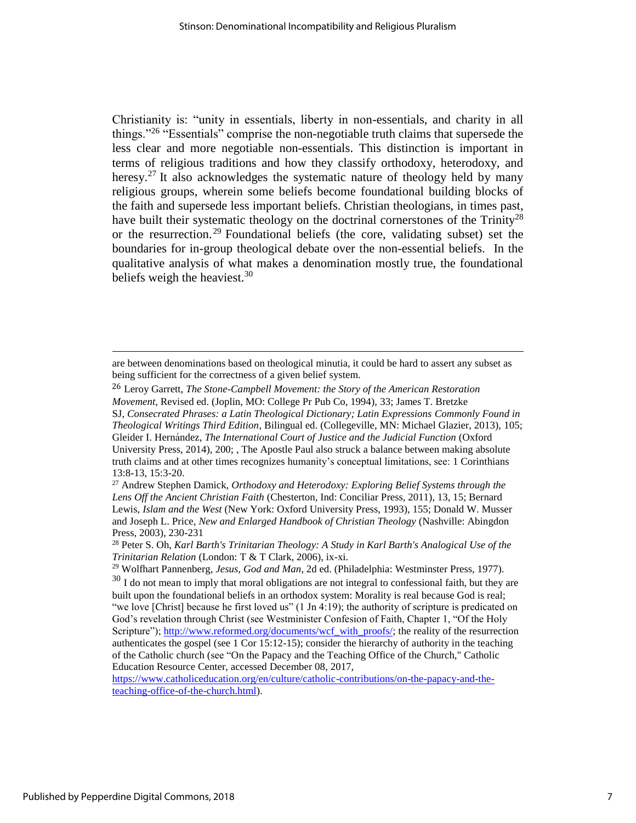Christianity is: "unity in essentials, liberty in non-essentials, and charity in all things."<sup>26</sup> "Essentials" comprise the non-negotiable truth claims that supersede the less clear and more negotiable non-essentials. This distinction is important in terms of religious traditions and how they classify orthodoxy, heterodoxy, and heresy.<sup>27</sup> It also acknowledges the systematic nature of theology held by many religious groups, wherein some beliefs become foundational building blocks of the faith and supersede less important beliefs. Christian theologians, in times past, have built their systematic theology on the doctrinal cornerstones of the Trinity<sup>28</sup> or the resurrection.<sup>29</sup> Foundational beliefs (the core, validating subset) set the boundaries for in-group theological debate over the non-essential beliefs. In the qualitative analysis of what makes a denomination mostly true, the foundational beliefs weigh the heaviest.<sup>30</sup>

[https://www.catholiceducation.org/en/culture/catholic-contributions/on-the-papacy-and-the](https://www.catholiceducation.org/en/culture/catholic-contributions/on-the-papacy-and-the-teaching-office-of-the-church.html)[teaching-office-of-the-church.html\)](https://www.catholiceducation.org/en/culture/catholic-contributions/on-the-papacy-and-the-teaching-office-of-the-church.html).

are between denominations based on theological minutia, it could be hard to assert any subset as being sufficient for the correctness of a given belief system.

<sup>26</sup> Leroy Garrett, *The Stone-Campbell Movement: the Story of the American Restoration Movement*, Revised ed. (Joplin, MO: College Pr Pub Co, 1994), 33; James T. Bretzke SJ, *Consecrated Phrases: a Latin Theological Dictionary; Latin Expressions Commonly Found in Theological Writings Third Edition*, Bilingual ed. (Collegeville, MN: Michael Glazier, 2013), 105; Gleider I. Hernández, *The International Court of Justice and the Judicial Function* (Oxford University Press, 2014), 200; , The Apostle Paul also struck a balance between making absolute truth claims and at other times recognizes humanity's conceptual limitations, see: 1 Corinthians 13:8-13, 15:3-20.

<sup>27</sup> Andrew Stephen Damick, *Orthodoxy and Heterodoxy: Exploring Belief Systems through the Lens Off the Ancient Christian Faith* (Chesterton, Ind: Conciliar Press, 2011), 13, 15; Bernard Lewis, *Islam and the West* (New York: Oxford University Press, 1993), 155; Donald W. Musser and Joseph L. Price, *New and Enlarged Handbook of Christian Theology* (Nashville: Abingdon Press, 2003), 230-231

<sup>28</sup> Peter S. Oh, *Karl Barth's Trinitarian Theology: A Study in Karl Barth's Analogical Use of the Trinitarian Relation* (London: T & T Clark, 2006), ix-xi.

<sup>29</sup> Wolfhart Pannenberg, *Jesus, God and Man*, 2d ed. (Philadelphia: Westminster Press, 1977).

 $30\,$  I do not mean to imply that moral obligations are not integral to confessional faith, but they are built upon the foundational beliefs in an orthodox system: Morality is real because God is real; "we love [Christ] because he first loved us" (1 Jn 4:19); the authority of scripture is predicated on God's revelation through Christ (see Westminister Confesion of Faith, Chapter 1, "Of the Holy Scripture")[; http://www.reformed.org/documents/wcf\\_with\\_proofs/;](http://www.reformed.org/documents/wcf_with_proofs/) the reality of the resurrection authenticates the gospel (see 1 Cor 15:12-15); consider the hierarchy of authority in the teaching of the Catholic church (see "On the Papacy and the Teaching Office of the Church," Catholic Education Resource Center, accessed December 08, 2017,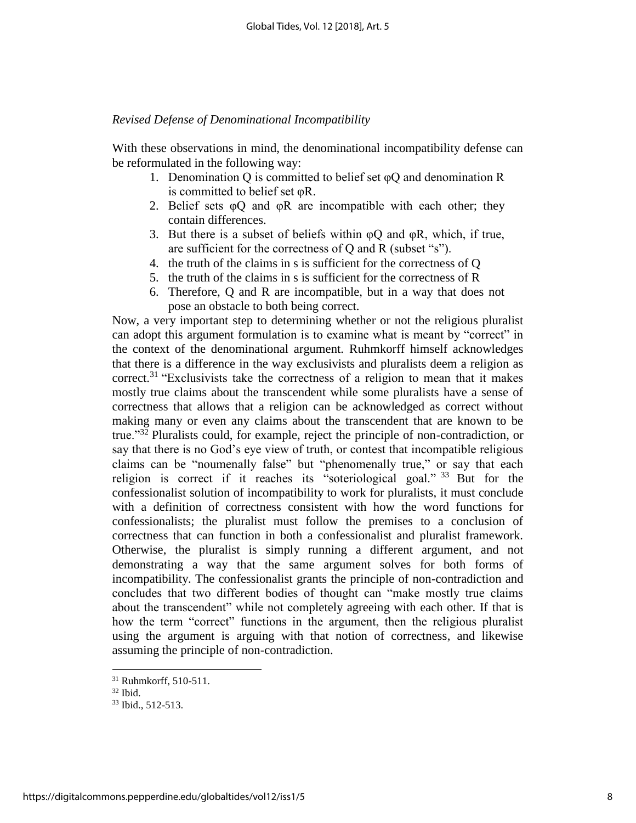### *Revised Defense of Denominational Incompatibility*

With these observations in mind, the denominational incompatibility defense can be reformulated in the following way:

- 1. Denomination Q is committed to belief set  $\varphi$ Q and denomination R is committed to belief set φR.
- 2. Belief sets  $\varphi$ Q and  $\varphi$ R are incompatible with each other; they contain differences.
- 3. But there is a subset of beliefs within  $\varphi Q$  and  $\varphi R$ , which, if true, are sufficient for the correctness of Q and R (subset "s").
- 4. the truth of the claims in s is sufficient for the correctness of Q
- 5. the truth of the claims in s is sufficient for the correctness of R
- 6. Therefore, Q and R are incompatible, but in a way that does not pose an obstacle to both being correct.

Now, a very important step to determining whether or not the religious pluralist can adopt this argument formulation is to examine what is meant by "correct" in the context of the denominational argument. Ruhmkorff himself acknowledges that there is a difference in the way exclusivists and pluralists deem a religion as correct.<sup>31</sup> "Exclusivists take the correctness of a religion to mean that it makes mostly true claims about the transcendent while some pluralists have a sense of correctness that allows that a religion can be acknowledged as correct without making many or even any claims about the transcendent that are known to be true."<sup>32</sup> Pluralists could, for example, reject the principle of non-contradiction, or say that there is no God's eye view of truth, or contest that incompatible religious claims can be "noumenally false" but "phenomenally true," or say that each religion is correct if it reaches its "soteriological goal." <sup>33</sup> But for the confessionalist solution of incompatibility to work for pluralists, it must conclude with a definition of correctness consistent with how the word functions for confessionalists; the pluralist must follow the premises to a conclusion of correctness that can function in both a confessionalist and pluralist framework. Otherwise, the pluralist is simply running a different argument, and not demonstrating a way that the same argument solves for both forms of incompatibility. The confessionalist grants the principle of non-contradiction and concludes that two different bodies of thought can "make mostly true claims about the transcendent" while not completely agreeing with each other. If that is how the term "correct" functions in the argument, then the religious pluralist using the argument is arguing with that notion of correctness, and likewise assuming the principle of non-contradiction.

<sup>31</sup> Ruhmkorff, 510-511.

 $32$  Ibid.

<sup>33</sup> Ibid., 512-513.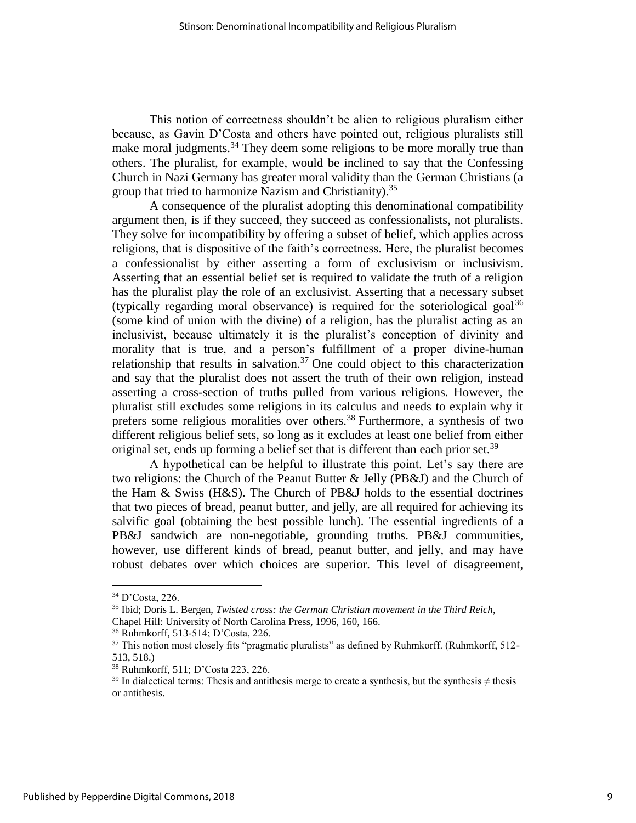This notion of correctness shouldn't be alien to religious pluralism either because, as Gavin D'Costa and others have pointed out, religious pluralists still make moral judgments.<sup>34</sup> They deem some religions to be more morally true than others. The pluralist, for example, would be inclined to say that the Confessing Church in Nazi Germany has greater moral validity than the German Christians (a group that tried to harmonize Nazism and Christianity).<sup>35</sup>

A consequence of the pluralist adopting this denominational compatibility argument then, is if they succeed, they succeed as confessionalists, not pluralists. They solve for incompatibility by offering a subset of belief, which applies across religions, that is dispositive of the faith's correctness. Here, the pluralist becomes a confessionalist by either asserting a form of exclusivism or inclusivism. Asserting that an essential belief set is required to validate the truth of a religion has the pluralist play the role of an exclusivist. Asserting that a necessary subset (typically regarding moral observance) is required for the soteriological goal<sup>36</sup> (some kind of union with the divine) of a religion, has the pluralist acting as an inclusivist, because ultimately it is the pluralist's conception of divinity and morality that is true, and a person's fulfillment of a proper divine-human relationship that results in salvation.<sup>37</sup> One could object to this characterization and say that the pluralist does not assert the truth of their own religion, instead asserting a cross-section of truths pulled from various religions. However, the pluralist still excludes some religions in its calculus and needs to explain why it prefers some religious moralities over others.<sup>38</sup> Furthermore, a synthesis of two different religious belief sets, so long as it excludes at least one belief from either original set, ends up forming a belief set that is different than each prior set.<sup>39</sup>

A hypothetical can be helpful to illustrate this point. Let's say there are two religions: the Church of the Peanut Butter & Jelly (PB&J) and the Church of the Ham & Swiss (H&S). The Church of PB&J holds to the essential doctrines that two pieces of bread, peanut butter, and jelly, are all required for achieving its salvific goal (obtaining the best possible lunch). The essential ingredients of a PB&J sandwich are non-negotiable, grounding truths. PB&J communities, however, use different kinds of bread, peanut butter, and jelly, and may have robust debates over which choices are superior. This level of disagreement,

<sup>34</sup> D'Costa, 226.

<sup>35</sup> Ibid; Doris L. Bergen, *Twisted cross: the German Christian movement in the Third Reich*, Chapel Hill: University of North Carolina Press, 1996, 160, 166.

<sup>36</sup> Ruhmkorff, 513-514; D'Costa, 226.

<sup>&</sup>lt;sup>37</sup> This notion most closely fits "pragmatic pluralists" as defined by Ruhmkorff. (Ruhmkorff, 512-513, 518.)

<sup>38</sup> Ruhmkorff, 511; D'Costa 223, 226.

<sup>&</sup>lt;sup>39</sup> In dialectical terms: Thesis and antithesis merge to create a synthesis, but the synthesis  $\neq$  thesis or antithesis.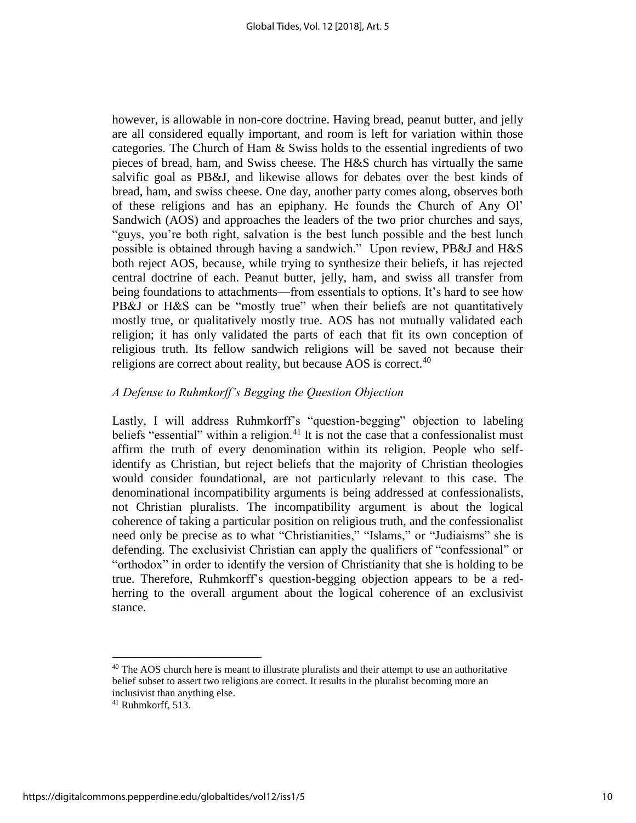however, is allowable in non-core doctrine. Having bread, peanut butter, and jelly are all considered equally important, and room is left for variation within those categories. The Church of Ham & Swiss holds to the essential ingredients of two pieces of bread, ham, and Swiss cheese. The H&S church has virtually the same salvific goal as PB&J, and likewise allows for debates over the best kinds of bread, ham, and swiss cheese. One day, another party comes along, observes both of these religions and has an epiphany. He founds the Church of Any Ol' Sandwich (AOS) and approaches the leaders of the two prior churches and says, "guys, you're both right, salvation is the best lunch possible and the best lunch possible is obtained through having a sandwich." Upon review, PB&J and H&S both reject AOS, because, while trying to synthesize their beliefs, it has rejected central doctrine of each. Peanut butter, jelly, ham, and swiss all transfer from being foundations to attachments—from essentials to options. It's hard to see how PB&J or H&S can be "mostly true" when their beliefs are not quantitatively mostly true, or qualitatively mostly true. AOS has not mutually validated each religion; it has only validated the parts of each that fit its own conception of religious truth. Its fellow sandwich religions will be saved not because their religions are correct about reality, but because AOS is correct.<sup>40</sup>

# *A Defense to Ruhmkorff's Begging the Question Objection*

Lastly, I will address Ruhmkorff's "question-begging" objection to labeling beliefs "essential" within a religion.<sup>41</sup> It is not the case that a confessionalist must affirm the truth of every denomination within its religion. People who selfidentify as Christian, but reject beliefs that the majority of Christian theologies would consider foundational, are not particularly relevant to this case. The denominational incompatibility arguments is being addressed at confessionalists, not Christian pluralists. The incompatibility argument is about the logical coherence of taking a particular position on religious truth, and the confessionalist need only be precise as to what "Christianities," "Islams," or "Judiaisms" she is defending. The exclusivist Christian can apply the qualifiers of "confessional" or "orthodox" in order to identify the version of Christianity that she is holding to be true. Therefore, Ruhmkorff's question-begging objection appears to be a redherring to the overall argument about the logical coherence of an exclusivist stance.

<sup>&</sup>lt;sup>40</sup> The AOS church here is meant to illustrate pluralists and their attempt to use an authoritative belief subset to assert two religions are correct. It results in the pluralist becoming more an inclusivist than anything else.

 $41$  Ruhmkorff, 513.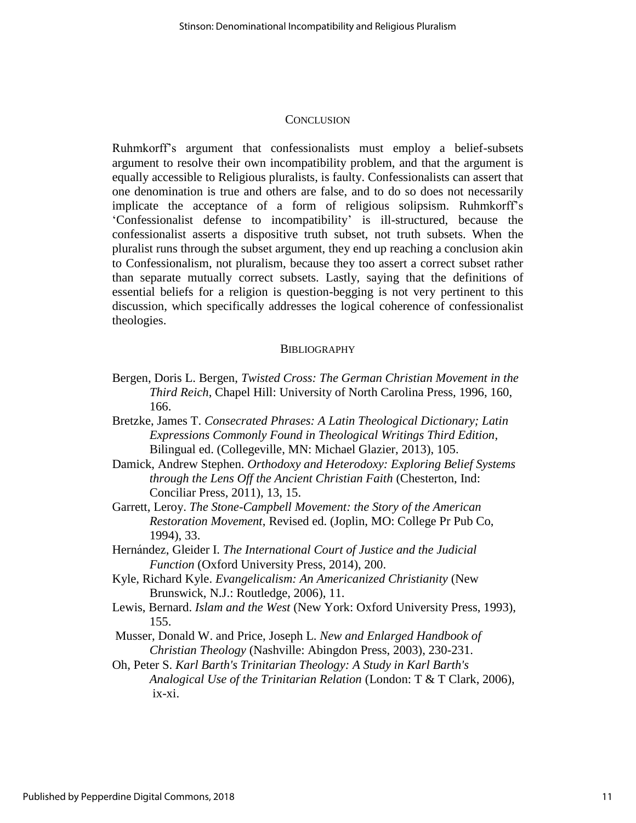#### **CONCLUSION**

Ruhmkorff's argument that confessionalists must employ a belief-subsets argument to resolve their own incompatibility problem, and that the argument is equally accessible to Religious pluralists, is faulty. Confessionalists can assert that one denomination is true and others are false, and to do so does not necessarily implicate the acceptance of a form of religious solipsism. Ruhmkorff's 'Confessionalist defense to incompatibility' is ill-structured, because the confessionalist asserts a dispositive truth subset, not truth subsets. When the pluralist runs through the subset argument, they end up reaching a conclusion akin to Confessionalism, not pluralism, because they too assert a correct subset rather than separate mutually correct subsets. Lastly, saying that the definitions of essential beliefs for a religion is question-begging is not very pertinent to this discussion, which specifically addresses the logical coherence of confessionalist theologies.

#### **BIBLIOGRAPHY**

- Bergen, Doris L. Bergen, *Twisted Cross: The German Christian Movement in the Third Reich*, Chapel Hill: University of North Carolina Press, 1996, 160, 166.
- Bretzke, James T. *Consecrated Phrases: A Latin Theological Dictionary; Latin Expressions Commonly Found in Theological Writings Third Edition*, Bilingual ed. (Collegeville, MN: Michael Glazier, 2013), 105.
- Damick, Andrew Stephen. *Orthodoxy and Heterodoxy: Exploring Belief Systems through the Lens Off the Ancient Christian Faith* (Chesterton, Ind: Conciliar Press, 2011), 13, 15.
- Garrett, Leroy. *The Stone-Campbell Movement: the Story of the American Restoration Movement*, Revised ed. (Joplin, MO: College Pr Pub Co, 1994), 33.
- Hernández, Gleider I. *The International Court of Justice and the Judicial Function* (Oxford University Press, 2014), 200.
- Kyle, Richard Kyle. *Evangelicalism: An Americanized Christianity* (New Brunswick, N.J.: Routledge, 2006), 11.
- Lewis, Bernard. *Islam and the West* (New York: Oxford University Press, 1993), 155.
- Musser, Donald W. and Price, Joseph L. *New and Enlarged Handbook of Christian Theology* (Nashville: Abingdon Press, 2003), 230-231.
- Oh, Peter S. *Karl Barth's Trinitarian Theology: A Study in Karl Barth's Analogical Use of the Trinitarian Relation* (London: T & T Clark, 2006), ix-xi.